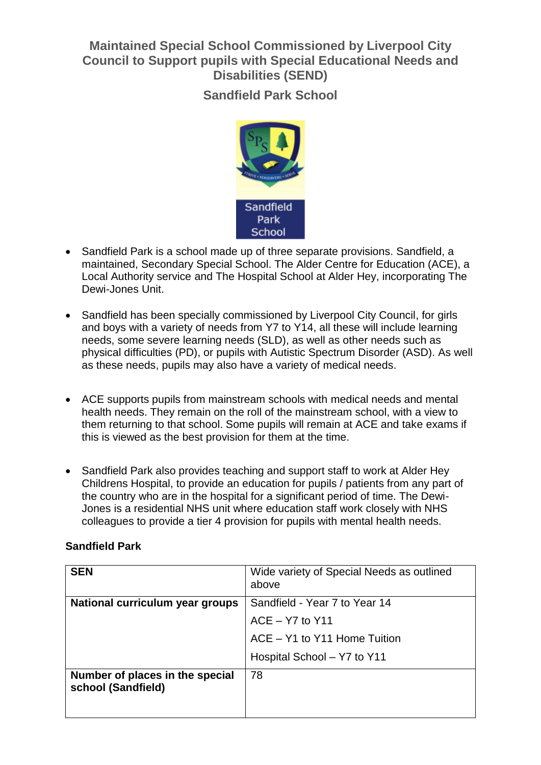# **Maintained Special School Commissioned by Liverpool City Council to Support pupils with Special Educational Needs and Disabilities (SEND)**

**Sandfield Park School**



- Sandfield Park is a school made up of three separate provisions. Sandfield, a maintained, Secondary Special School. The Alder Centre for Education (ACE), a Local Authority service and The Hospital School at Alder Hey, incorporating The Dewi-Jones Unit.
- Sandfield has been specially commissioned by Liverpool City Council, for girls and boys with a variety of needs from Y7 to Y14, all these will include learning needs, some severe learning needs (SLD), as well as other needs such as physical difficulties (PD), or pupils with Autistic Spectrum Disorder (ASD). As well as these needs, pupils may also have a variety of medical needs.
- ACE supports pupils from mainstream schools with medical needs and mental health needs. They remain on the roll of the mainstream school, with a view to them returning to that school. Some pupils will remain at ACE and take exams if this is viewed as the best provision for them at the time.
- Sandfield Park also provides teaching and support staff to work at Alder Hey Childrens Hospital, to provide an education for pupils / patients from any part of the country who are in the hospital for a significant period of time. The Dewi-Jones is a residential NHS unit where education staff work closely with NHS colleagues to provide a tier 4 provision for pupils with mental health needs.

### **Sandfield Park**

| <b>SEN</b>                                            | Wide variety of Special Needs as outlined<br>above |
|-------------------------------------------------------|----------------------------------------------------|
| National curriculum year groups                       | Sandfield - Year 7 to Year 14                      |
|                                                       | $ACE - Y7$ to $Y11$                                |
|                                                       | ACE - Y1 to Y11 Home Tuition                       |
|                                                       | Hospital School - Y7 to Y11                        |
| Number of places in the special<br>school (Sandfield) | 78                                                 |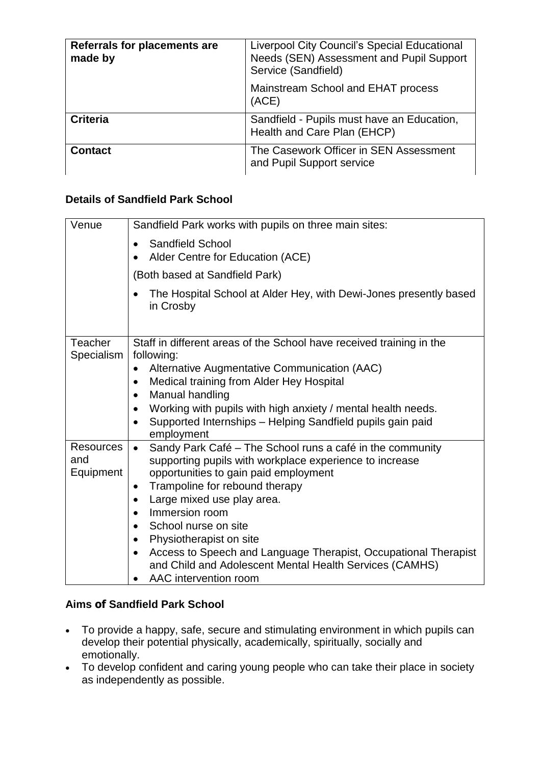| Referrals for placements are<br>made by | Liverpool City Council's Special Educational<br>Needs (SEN) Assessment and Pupil Support<br>Service (Sandfield) |
|-----------------------------------------|-----------------------------------------------------------------------------------------------------------------|
|                                         | Mainstream School and EHAT process<br>(ACE)                                                                     |
| <b>Criteria</b>                         | Sandfield - Pupils must have an Education,<br>Health and Care Plan (EHCP)                                       |
| <b>Contact</b>                          | The Casework Officer in SEN Assessment<br>and Pupil Support service                                             |

### **Details of Sandfield Park School**

| Venue                                | Sandfield Park works with pupils on three main sites:                                                                                                                                                                                                                |
|--------------------------------------|----------------------------------------------------------------------------------------------------------------------------------------------------------------------------------------------------------------------------------------------------------------------|
|                                      | <b>Sandfield School</b><br>$\bullet$<br>Alder Centre for Education (ACE)<br>$\bullet$                                                                                                                                                                                |
|                                      | (Both based at Sandfield Park)                                                                                                                                                                                                                                       |
|                                      | The Hospital School at Alder Hey, with Dewi-Jones presently based<br>in Crosby                                                                                                                                                                                       |
| Teacher                              | Staff in different areas of the School have received training in the                                                                                                                                                                                                 |
| Specialism                           | following:<br>Alternative Augmentative Communication (AAC)<br>$\bullet$<br>Medical training from Alder Hey Hospital<br>$\bullet$<br>Manual handling<br>$\bullet$                                                                                                     |
|                                      | Working with pupils with high anxiety / mental health needs.<br>$\bullet$<br>Supported Internships - Helping Sandfield pupils gain paid<br>$\bullet$<br>employment                                                                                                   |
| <b>Resources</b><br>and<br>Equipment | Sandy Park Café - The School runs a café in the community<br>$\bullet$<br>supporting pupils with workplace experience to increase<br>opportunities to gain paid employment<br>Trampoline for rebound therapy<br>$\bullet$<br>Large mixed use play area.<br>$\bullet$ |
|                                      | Immersion room<br>$\bullet$                                                                                                                                                                                                                                          |
|                                      | School nurse on site<br>$\bullet$<br>Physiotherapist on site<br>$\bullet$                                                                                                                                                                                            |
|                                      | Access to Speech and Language Therapist, Occupational Therapist<br>$\bullet$<br>and Child and Adolescent Mental Health Services (CAMHS)<br>AAC intervention room                                                                                                     |

## **Aims of Sandfield Park School**

- To provide a happy, safe, secure and stimulating environment in which pupils can develop their potential physically, academically, spiritually, socially and emotionally.
- To develop confident and caring young people who can take their place in society as independently as possible.